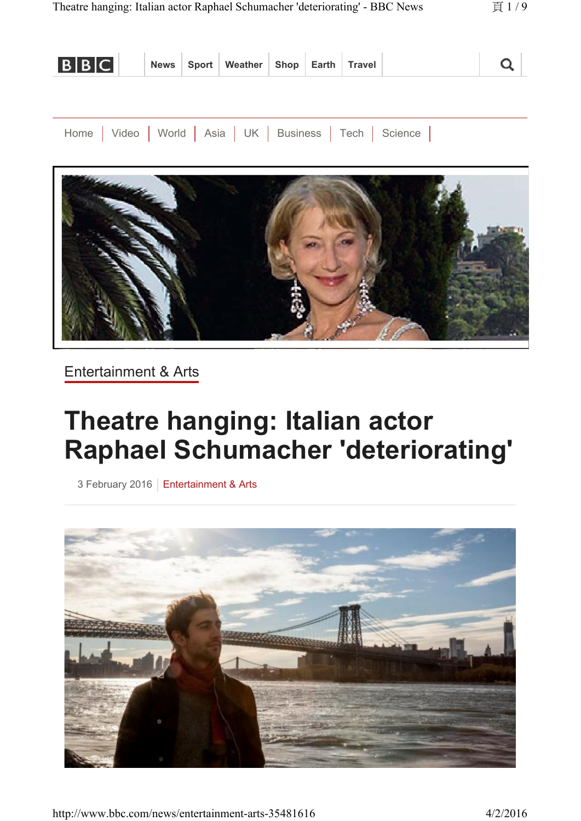| <b>BBC</b> News Sport Weather Shop Earth Travel |  |  |  |  |  |
|-------------------------------------------------|--|--|--|--|--|
|                                                 |  |  |  |  |  |
|                                                 |  |  |  |  |  |

Home | Video | World | Asia | UK | Business | Tech | Science |



Entertainment & Arts

# **Theatre hanging: Italian actor Raphael Schumacher 'deteriorating'**

3 February 2016 | Entertainment & Arts



http://www.bbc.com/news/entertainment-arts-35481616 4/2/2016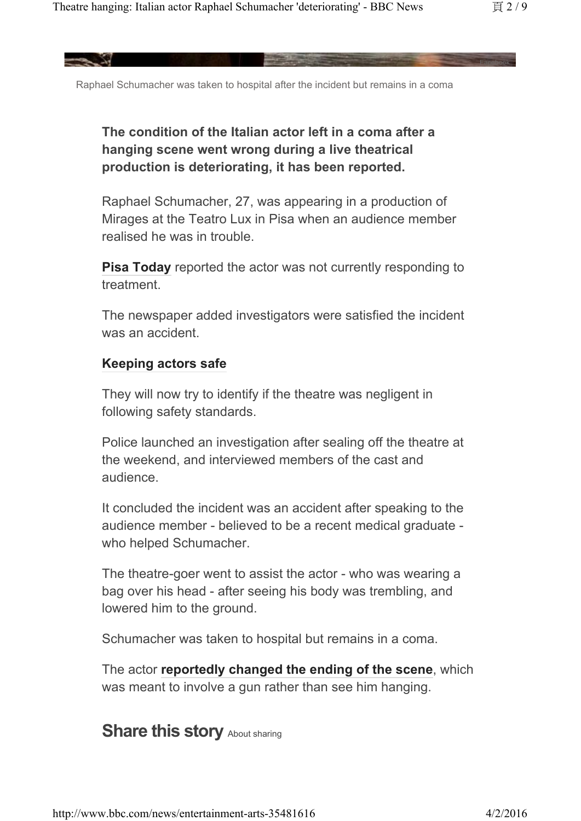Facebook

Raphael Schumacher was taken to hospital after the incident but remains in a coma

### **The condition of the Italian actor left in a coma after a hanging scene went wrong during a live theatrical production is deteriorating, it has been reported.**

Raphael Schumacher, 27, was appearing in a production of Mirages at the Teatro Lux in Pisa when an audience member realised he was in trouble.

**Pisa Today** reported the actor was not currently responding to treatment.

The newspaper added investigators were satisfied the incident was an accident.

### **Keeping actors safe**

They will now try to identify if the theatre was negligent in following safety standards.

Police launched an investigation after sealing off the theatre at the weekend, and interviewed members of the cast and audience.

It concluded the incident was an accident after speaking to the audience member - believed to be a recent medical graduate who helped Schumacher.

The theatre-goer went to assist the actor - who was wearing a bag over his head - after seeing his body was trembling, and lowered him to the ground.

Schumacher was taken to hospital but remains in a coma.

The actor **reportedly changed the ending of the scene**, which was meant to involve a gun rather than see him hanging.

### **Share this story About sharing**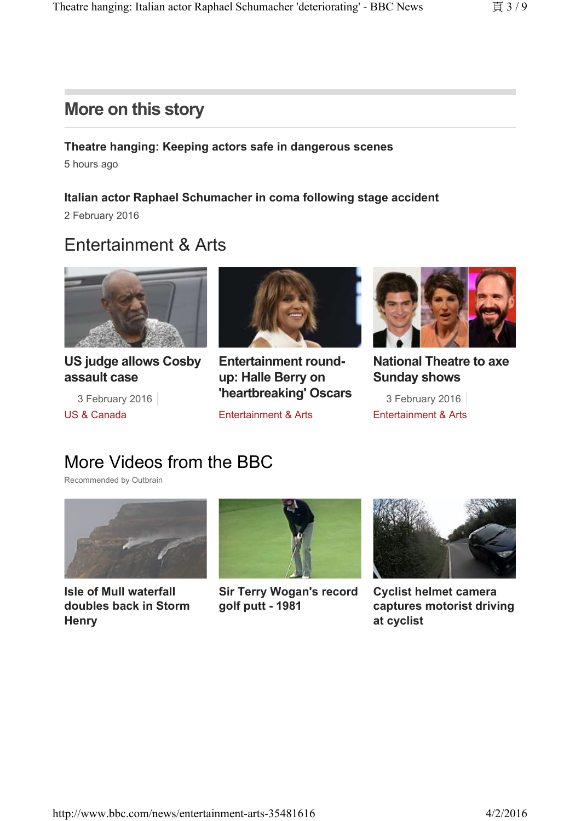### **More on this story**

### **Theatre hanging: Keeping actors safe in dangerous scenes**  5 hours ago

**Italian actor Raphael Schumacher in coma following stage accident**  2 February 2016

# Entertainment & Arts



**US judge allows Cosby assault case**

US & Canada



3 February 2016 **11earl Dividentify USCals** 3 February 2016 **Entertainment roundup: Halle Berry on 'heartbreaking' Oscars**

Entertainment & Arts



**National Theatre to axe Sunday shows**

Entertainment & Arts

# More Videos from the BBC

Recommended by Outbrain



**Isle of Mull waterfall doubles back in Storm Henry**



**Sir Terry Wogan's record golf putt - 1981**



**Cyclist helmet camera captures motorist driving at cyclist**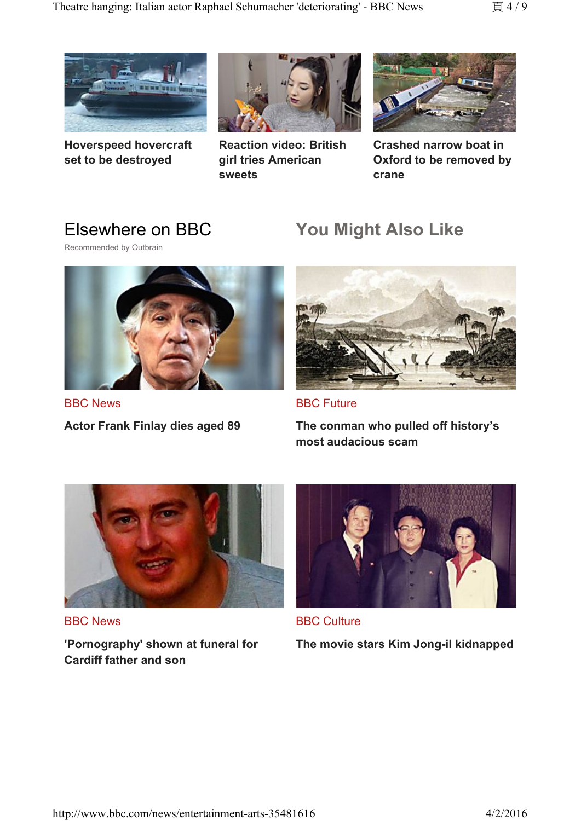

**Hoverspeed hovercraft set to be destroyed**



**Reaction video: British girl tries American sweets**



**Crashed narrow boat in Oxford to be removed by crane**

### Elsewhere on BBC

Recommended by Outbrain



BBC News

**Actor Frank Finlay dies aged 89**

# **You Might Also Like**



BBC Future

**The conman who pulled off history's most audacious scam**



BBC News

**'Pornography' shown at funeral for Cardiff father and son**



BBC Culture **The movie stars Kim Jong-il kidnapped**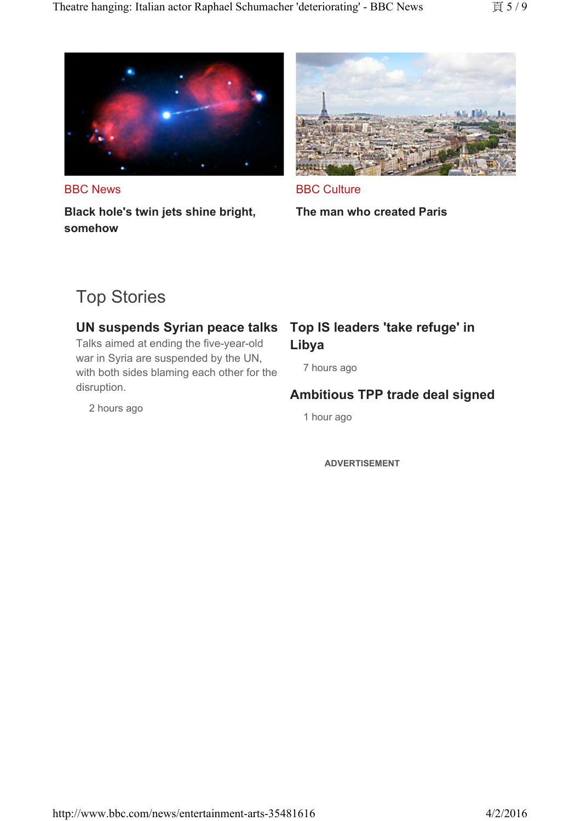

BBC News **Black hole's twin jets shine bright, somehow**



**BBC Culture** 

**The man who created Paris**

# Top Stories

#### **UN suspends Syrian peace talks**

Talks aimed at ending the five-year-old war in Syria are suspended by the UN, with both sides blaming each other for the disruption.

2 hours ago

### **Top IS leaders 'take refuge' in Libya**

7 hours ago

### **Ambitious TPP trade deal signed**

1 hour ago

**ADVERTISEMENT**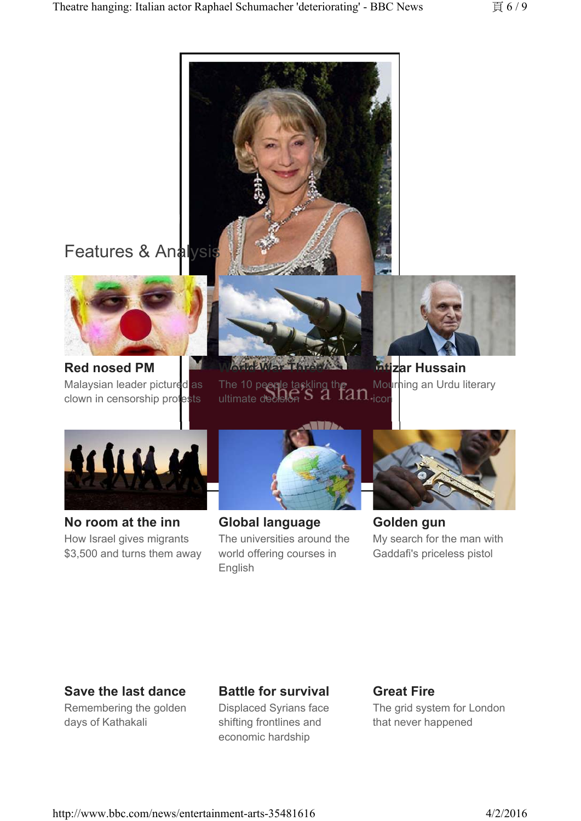

### **Save the last dance**

Remembering the golden days of Kathakali

### **Battle for survival**

Displaced Syrians face shifting frontlines and economic hardship

#### **Great Fire**

The grid system for London that never happened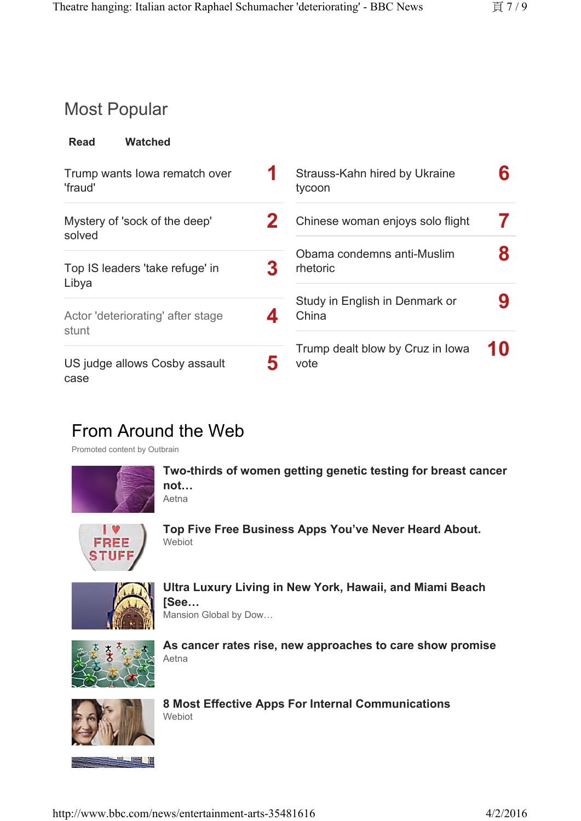# Most Popular

| <b>Read</b> | <b>Watched</b> |
|-------------|----------------|
|             |                |

| Trump wants lowa rematch over<br>'fraud'   | Strauss-Kahn hired by Ukraine<br>tycoon  |  |
|--------------------------------------------|------------------------------------------|--|
| Mystery of 'sock of the deep'<br>solved    | Chinese woman enjoys solo flight         |  |
| Top IS leaders 'take refuge' in<br>Libya   | Obama condemns anti-Muslim<br>rhetoric   |  |
| Actor 'deteriorating' after stage<br>stunt | Study in English in Denmark or<br>China  |  |
| US judge allows Cosby assault<br>case      | Trump dealt blow by Cruz in Iowa<br>vote |  |

# From Around the Web

Promoted content by Outbrain



**Two-thirds of women getting genetic testing for breast cancer not…** Aetna



**Top Five Free Business Apps You've Never Heard About. Webiot** 



**Ultra Luxury Living in New York, Hawaii, and Miami Beach [See…**

Mansion Global by Dow…



**As cancer rates rise, new approaches to care show promise** Aetna



**8 Most Effective Apps For Internal Communications** Webiot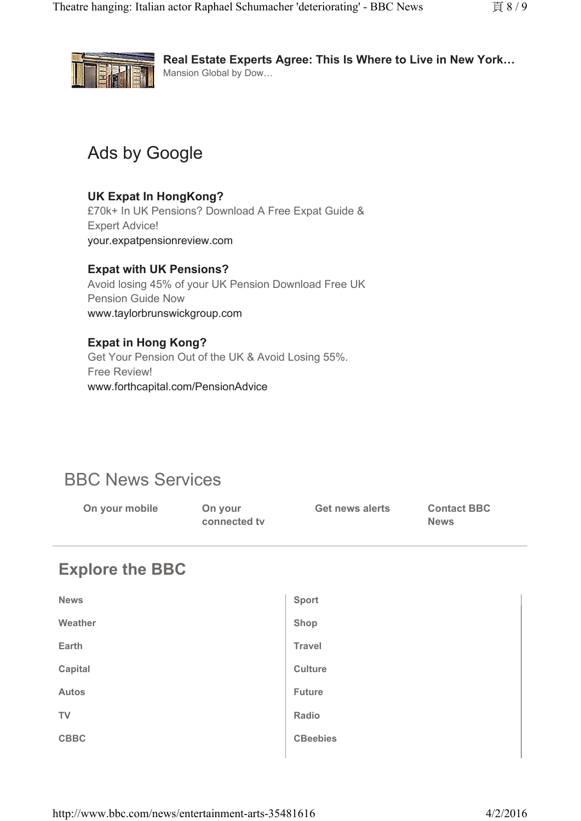

**Real Estate Experts Agree: This Is Where to Live in New York…** Mansion Global by Dow…

# Ads by Google

### **UK Expat In HongKong?**

£70k+ In UK Pensions? Download A Free Expat Guide & Expert Advice! your.expatpensionreview.com

#### **Expat with UK Pensions?**

Avoid losing 45% of your UK Pension Download Free UK Pension Guide Now www.taylorbrunswickgroup.com

#### **Expat in Hong Kong?**

Get Your Pension Out of the UK & Avoid Losing 55%. Free Review! www.forthcapital.com/PensionAdvice

# BBC News Services

| On your mobile | On your<br>connected ty | Get news alerts | <b>Contact BBC</b><br><b>News</b> |
|----------------|-------------------------|-----------------|-----------------------------------|
|                |                         |                 |                                   |

# **Explore the BBC**

| <b>News</b>  | <b>Sport</b>    |  |
|--------------|-----------------|--|
| Weather      | Shop            |  |
| Earth        | <b>Travel</b>   |  |
| Capital      | <b>Culture</b>  |  |
| <b>Autos</b> | <b>Future</b>   |  |
| <b>TV</b>    | Radio           |  |
| <b>CBBC</b>  | <b>CBeebies</b> |  |
|              |                 |  |